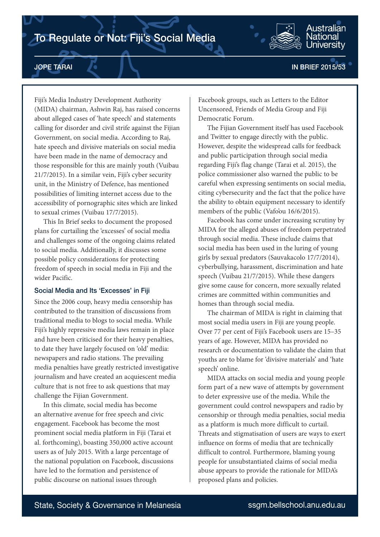# To Regulate or Not: Fiji's Social Media



Fiji's Media Industry Development Authority (MIDA) chairman, Ashwin Raj, has raised concerns about alleged cases of 'hate speech' and statements calling for disorder and civil strife against the Fijian Government, on social media. According to Raj, hate speech and divisive materials on social media have been made in the name of democracy and those responsible for this are mainly youth (Vuibau 21/7/2015). In a similar vein, Fiji's cyber security unit, in the Ministry of Defence, has mentioned possibilities of limiting internet access due to the accessibility of pornographic sites which are linked to sexual crimes (Vuibau 17/7/2015).

This In Brief seeks to document the proposed plans for curtailing the 'excesses' of social media and challenges some of the ongoing claims related to social media. Additionally, it discusses some possible policy considerations for protecting freedom of speech in social media in Fiji and the wider Pacific.

# Social Media and Its 'Excesses' in Fiji

Since the 2006 coup, heavy media censorship has contributed to the transition of discussions from traditional media to blogs to social media. While Fiji's highly repressive media laws remain in place and have been criticised for their heavy penalties, to date they have largely focused on 'old' media: newspapers and radio stations. The prevailing media penalties have greatly restricted investigative journalism and have created an acquiescent media culture that is not free to ask questions that may challenge the Fijian Government.

In this climate, social media has become an alternative avenue for free speech and civic engagement. Facebook has become the most prominent social media platform in Fiji (Tarai et al. forthcoming), boasting 350,000 active account users as of July 2015. With a large percentage of the national population on Facebook, discussions have led to the formation and persistence of public discourse on national issues through

Facebook groups, such as Letters to the Editor Uncensored, Friends of Media Group and Fiji Democratic Forum.

The Fijian Government itself has used Facebook and Twitter to engage directly with the public. However, despite the widespread calls for feedback and public participation through social media regarding Fiji's flag change (Tarai et al. 2015), the police commissioner also warned the public to be careful when expressing sentiments on social media, citing cybersecurity and the fact that the police have the ability to obtain equipment necessary to identify members of the public (Vafo'ou 16/6/2015).

Facebook has come under increasing scrutiny by MIDA for the alleged abuses of freedom perpetrated through social media. These include claims that social media has been used in the luring of young girls by sexual predators (Sauvakacolo 17/7/2014), cyberbullying, harassment, discrimination and hate speech (Vuibau 21/7/2015). While these dangers give some cause for concern, more sexually related crimes are committed within communities and homes than through social media.

The chairman of MIDA is right in claiming that most social media users in Fiji are young people. Over 77 per cent of Fiji's Facebook users are 15–35 years of age. However, MIDA has provided no research or documentation to validate the claim that youths are to blame for 'divisive materials' and 'hate speech' online.

MIDA attacks on social media and young people form part of a new wave of attempts by government to deter expressive use of the media. While the government could control newspapers and radio by censorship or through media penalties, social media as a platform is much more difficult to curtail. Threats and stigmatisation of users are ways to exert influence on forms of media that are technically difficult to control. Furthermore, blaming young people for unsubstantiated claims of social media abuse appears to provide the rationale for MIDA's proposed plans and policies.